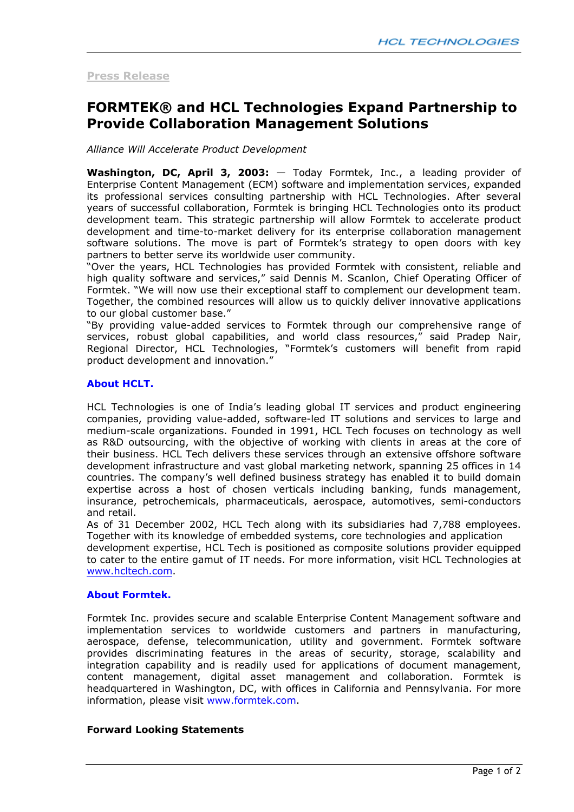## **Press Release**

# **FORMTEK® and HCL Technologies Expand Partnership to Provide Collaboration Management Solutions**

*Alliance Will Accelerate Product Development* 

**Washington, DC, April 3, 2003:** — Today Formtek, Inc., a leading provider of Enterprise Content Management (ECM) software and implementation services, expanded its professional services consulting partnership with HCL Technologies. After several years of successful collaboration, Formtek is bringing HCL Technologies onto its product development team. This strategic partnership will allow Formtek to accelerate product development and time-to-market delivery for its enterprise collaboration management software solutions. The move is part of Formtek's strategy to open doors with key partners to better serve its worldwide user community.

"Over the years, HCL Technologies has provided Formtek with consistent, reliable and high quality software and services," said Dennis M. Scanlon, Chief Operating Officer of Formtek. "We will now use their exceptional staff to complement our development team. Together, the combined resources will allow us to quickly deliver innovative applications to our global customer base."

"By providing value-added services to Formtek through our comprehensive range of services, robust global capabilities, and world class resources," said Pradep Nair, Regional Director, HCL Technologies, "Formtek's customers will benefit from rapid product development and innovation."

## **About HCLT.**

HCL Technologies is one of India's leading global IT services and product engineering companies, providing value-added, software-led IT solutions and services to large and medium-scale organizations. Founded in 1991, HCL Tech focuses on technology as well as R&D outsourcing, with the objective of working with clients in areas at the core of their business. HCL Tech delivers these services through an extensive offshore software development infrastructure and vast global marketing network, spanning 25 offices in 14 countries. The company's well defined business strategy has enabled it to build domain expertise across a host of chosen verticals including banking, funds management, insurance, petrochemicals, pharmaceuticals, aerospace, automotives, semi-conductors and retail.

As of 31 December 2002, HCL Tech along with its subsidiaries had 7,788 employees. Together with its knowledge of embedded systems, core technologies and application

development expertise, HCL Tech is positioned as composite solutions provider equipped to cater to the entire gamut of IT needs. For more information, visit HCL Technologies at www.hcltech.com.

### **About Formtek.**

Formtek Inc. provides secure and scalable Enterprise Content Management software and implementation services to worldwide customers and partners in manufacturing, aerospace, defense, telecommunication, utility and government. Formtek software provides discriminating features in the areas of security, storage, scalability and integration capability and is readily used for applications of document management, content management, digital asset management and collaboration. Formtek is headquartered in Washington, DC, with offices in California and Pennsylvania. For more information, please visit www.formtek.com.

### **Forward Looking Statements**